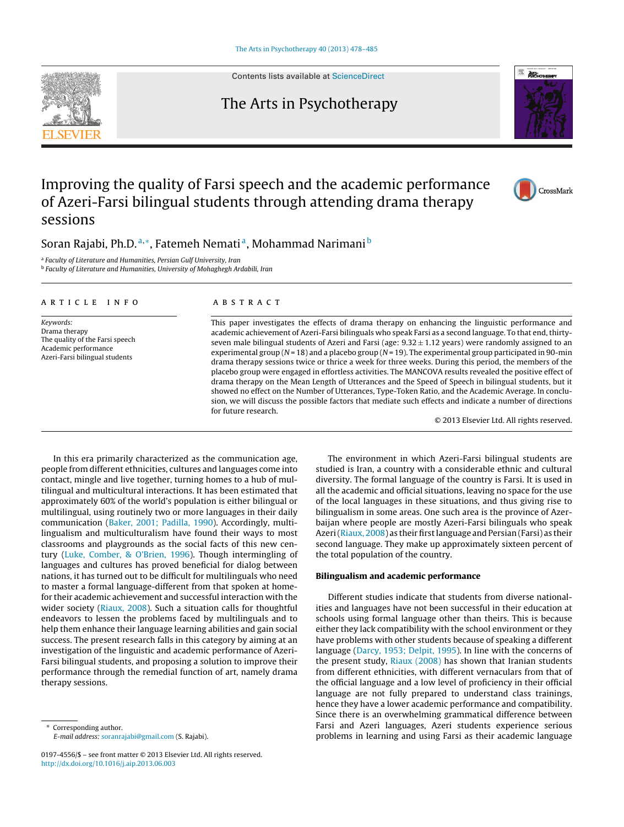

Contents lists available at [ScienceDirect](http://www.sciencedirect.com/science/journal/01974556)



## Improving the quality of Farsi speech and the academic performance of Azeri-Farsi bilingual students through attending drama therapy sessions

### Soran Rajabi, Ph.D.<sup>a,∗</sup>, Fatemeh Nemati<sup>a</sup>, Mohammad Narimani<sup>b</sup>

<sup>a</sup> Faculty of Literature and Humanities, Persian Gulf University, Iran

**b Faculty of Literature and Humanities, University of Mohaghegh Ardabili, Iran** 

#### article info

Keywords: Drama therapy The quality of the Farsi speech Academic performance Azeri-Farsi bilingual students

#### ABSTRACT

This paper investigates the effects of drama therapy on enhancing the linguistic performance and academic achievement of Azeri-Farsi bilinguals who speak Farsi as a second language. To that end, thirtyseven male bilingual students of Azeri and Farsi (age:  $9.32 \pm 1.12$  years) were randomly assigned to an experimental group ( $N = 18$ ) and a placebo group ( $N = 19$ ). The experimental group participated in 90-min drama therapy sessions twice or thrice a week for three weeks. During this period, the members of the placebo group were engaged in effortless activities. The MANCOVA results revealed the positive effect of drama therapy on the Mean Length of Utterances and the Speed of Speech in bilingual students, but it showed no effect on the Number of Utterances, Type-Token Ratio, and the Academic Average. In conclusion, we will discuss the possible factors that mediate such effects and indicate a number of directions for future research.

© 2013 Elsevier Ltd. All rights reserved.

In this era primarily characterized as the communication age, people from different ethnicities, cultures and languages come into contact, mingle and live together, turning homes to a hub of multilingual and multicultural interactions. It has been estimated that approximately 60% of the world's population is either bilingual or multilingual, using routinely two or more languages in their daily communication [\(Baker, 2001; Padilla, 1990\).](#page--1-0) Accordingly, multilingualism and multiculturalism have found their ways to most classrooms and playgrounds as the social facts of this new century ([Luke, Comber, & O'Brien, 1996\).](#page--1-0) Though intermingling of languages and cultures has proved beneficial for dialog between nations, it has turned out to be difficult for multilinguals who need to master a formal language-different from that spoken at homefor their academic achievement and successful interaction with the wider society [\(Riaux, 2008\).](#page--1-0) Such a situation calls for thoughtful endeavors to lessen the problems faced by multilinguals and to help them enhance their language learning abilities and gain social success. The present research falls in this category by aiming at an investigation of the linguistic and academic performance of Azeri-Farsi bilingual students, and proposing a solution to improve their performance through the remedial function of art, namely drama therapy sessions.

The environment in which Azeri-Farsi bilingual students are studied is Iran, a country with a considerable ethnic and cultural diversity. The formal language of the country is Farsi. It is used in all the academic and official situations, leaving no space for the use of the local languages in these situations, and thus giving rise to bilingualism in some areas. One such area is the province of Azerbaijan where people are mostly Azeri-Farsi bilinguals who speak Azeri ([Riaux, 2008\) a](#page--1-0)s their first language and Persian (Farsi) as their second language. They make up approximately sixteen percent of the total population of the country.

#### **Bilingualism and academic performance**

Different studies indicate that students from diverse nationalities and languages have not been successful in their education at schools using formal language other than theirs. This is because either they lack compatibility with the school environment or they have problems with other students because of speaking a different language [\(Darcy, 1953; Delpit, 1995\).](#page--1-0) In line with the concerns of the present study, [Riaux \(2008\)](#page--1-0) has shown that Iranian students from different ethnicities, with different vernaculars from that of the official language and a low level of proficiency in their official language are not fully prepared to understand class trainings, hence they have a lower academic performance and compatibility. Since there is an overwhelming grammatical difference between Farsi and Azeri languages, Azeri students experience serious problems in learning and using Farsi as their academic language





Corresponding author. E-mail address: [soranrajabi@gmail.com](mailto:soranrajabi@gmail.com) (S. Rajabi).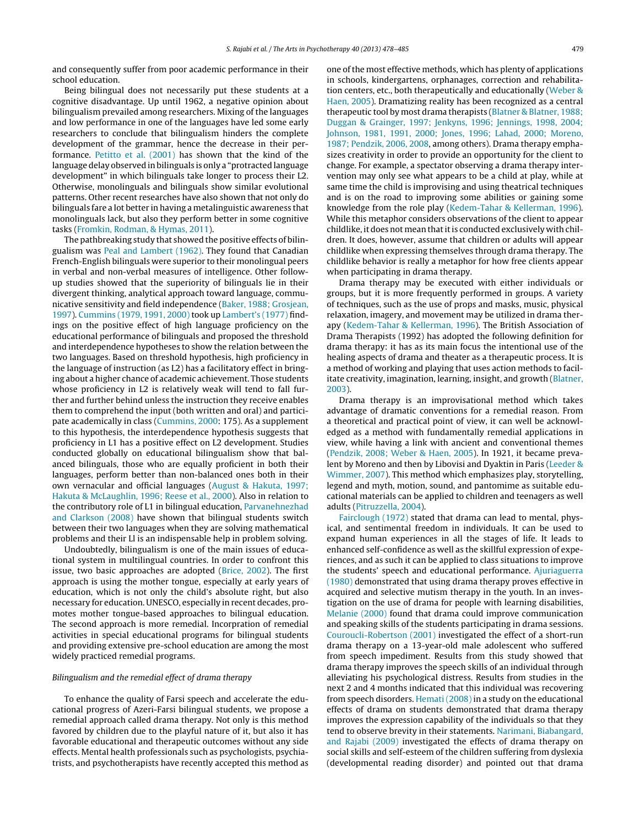and consequently suffer from poor academic performance in their school education.

Being bilingual does not necessarily put these students at a cognitive disadvantage. Up until 1962, a negative opinion about bilingualism prevailed among researchers. Mixing of the languages and low performance in one of the languages have led some early researchers to conclude that bilingualism hinders the complete development of the grammar, hence the decrease in their performance. [Petitto et al. \(2001\)](#page--1-0) has shown that the kind of the language delay observed in bilinguals is only a "protracted language development" in which bilinguals take longer to process their L2. Otherwise, monolinguals and bilinguals show similar evolutional patterns. Other recent researches have also shown that not only do bilinguals fare a lot better in having a metalinguistic awareness that monolinguals lack, but also they perform better in some cognitive tasks [\(Fromkin, Rodman, & Hymas, 2011\).](#page--1-0)

The pathbreaking study that showed the positive effects of bilingualism was [Peal and Lambert \(1962\).](#page--1-0) They found that Canadian French-English bilinguals were superior to their monolingual peers in verbal and non-verbal measures of intelligence. Other followup studies showed that the superiority of bilinguals lie in their divergent thinking, analytical approach toward language, communicative sensitivity and field independence [\(Baker, 1988; Grosjean,](#page--1-0) [1997\).](#page--1-0) [Cummins \(1979, 1991, 2000\)](#page--1-0) took up [Lambert's \(1977\)](#page--1-0) findings on the positive effect of high language proficiency on the educational performance of bilinguals and proposed the threshold and interdependence hypotheses to show the relation between the two languages. Based on threshold hypothesis, high proficiency in the language of instruction (as L2) has a facilitatory effect in bringing about a higher chance of academic achievement. Those students whose proficiency in L2 is relatively weak will tend to fall further and further behind unless the instruction they receive enables them to comprehend the input (both written and oral) and participate academically in class ([Cummins, 2000:](#page--1-0) 175). As a supplement to this hypothesis, the interdependence hypothesis suggests that proficiency in L1 has a positive effect on L2 development. Studies conducted globally on educational bilingualism show that balanced bilinguals, those who are equally proficient in both their languages, perform better than non-balanced ones both in their own vernacular and official languages ([August & Hakuta, 1997;](#page--1-0) [Hakuta & McLaughlin, 1996; Reese et al., 2000\).](#page--1-0) Also in relation to the contributory role of L1 in bilingual education, [Parvanehnezhad](#page--1-0) [and Clarkson \(2008\)](#page--1-0) have shown that bilingual students switch between their two languages when they are solving mathematical problems and their Ll is an indispensable help in problem solving.

Undoubtedly, bilingualism is one of the main issues of educational system in multilingual countries. In order to confront this issue, two basic approaches are adopted [\(Brice, 2002\).](#page--1-0) The first approach is using the mother tongue, especially at early years of education, which is not only the child's absolute right, but also necessary for education. UNESCO, especially in recent decades, promotes mother tongue-based approaches to bilingual education. The second approach is more remedial. Incorpration of remedial activities in special educational programs for bilingual students and providing extensive pre-school education are among the most widely practiced remedial programs.

#### Bilingualism and the remedial effect of drama therapy

To enhance the quality of Farsi speech and accelerate the educational progress of Azeri-Farsi bilingual students, we propose a remedial approach called drama therapy. Not only is this method favored by children due to the playful nature of it, but also it has favorable educational and therapeutic outcomes without any side effects. Mental health professionals such as psychologists, psychiatrists, and psychotherapists have recently accepted this method as one of the most effective methods, which has plenty of applications in schools, kindergartens, orphanages, correction and rehabilitation centers, etc., both therapeutically and educationally ([Weber &](#page--1-0) [Haen, 2005\).](#page--1-0) Dramatizing reality has been recognized as a central therapeutic tool by most drama therapists [\(Blatner & Blatner, 1988;](#page--1-0) [Duggan & Grainger, 1997; Jenkyns, 1996; Jennings, 1998, 2004;](#page--1-0) [Johnson, 1981, 1991, 2000; Jones, 1996; Lahad, 2000; Moreno,](#page--1-0) [1987; Pendzik, 2006, 2008, a](#page--1-0)mong others). Drama therapy emphasizes creativity in order to provide an opportunity for the client to change. For example, a spectator observing a drama therapy intervention may only see what appears to be a child at play, while at same time the child is improvising and using theatrical techniques and is on the road to improving some abilities or gaining some knowledge from the role play ([Kedem-Tahar & Kellerman, 1996\).](#page--1-0) While this metaphor considers observations of the client to appear childlike, it does not mean that it is conducted exclusively with children. It does, however, assume that children or adults will appear childlike when expressing themselves through drama therapy. The childlike behavior is really a metaphor for how free clients appear when participating in drama therapy.

Drama therapy may be executed with either individuals or groups, but it is more frequently performed in groups. A variety of techniques, such as the use of props and masks, music, physical relaxation, imagery, and movement may be utilized in drama therapy ([Kedem-Tahar & Kellerman, 1996\).](#page--1-0) The British Association of Drama Therapists (1992) has adopted the following definition for drama therapy: it has as its main focus the intentional use of the healing aspects of drama and theater as a therapeutic process. It is a method of working and playing that uses action methods to facilitate creativity, imagination, learning, insight, and growth [\(Blatner,](#page--1-0) [2003\).](#page--1-0)

Drama therapy is an improvisational method which takes advantage of dramatic conventions for a remedial reason. From a theoretical and practical point of view, it can well be acknowledged as a method with fundamentally remedial applications in view, while having a link with ancient and conventional themes [\(Pendzik, 2008; Weber & Haen, 2005\).](#page--1-0) In 1921, it became prevalent by Moreno and then by Libovisi and Dyaktin in Paris ([Leeder &](#page--1-0) [Wimmer, 2007\).](#page--1-0) This method which emphasizes play, storytelling, legend and myth, motion, sound, and pantomime as suitable educational materials can be applied to children and teenagers as well adults ([Pitruzzella, 2004\).](#page--1-0)

[Fairclough \(1972\)](#page--1-0) stated that drama can lead to mental, physical, and sentimental freedom in individuals. It can be used to expand human experiences in all the stages of life. It leads to enhanced self-confidence as well as the skillful expression of experiences, and as such it can be applied to class situations to improve the students' speech and educational performance. [Ajuriaguerra](#page--1-0) [\(1980\)](#page--1-0) demonstrated that using drama therapy proves effective in acquired and selective mutism therapy in the youth. In an investigation on the use of drama for people with learning disabilities, [Melanie \(2000\)](#page--1-0) found that drama could improve communication and speaking skills of the students participating in drama sessions. [Couroucli-Robertson \(2001\)](#page--1-0) investigated the effect of a short-run drama therapy on a 13-year-old male adolescent who suffered from speech impediment. Results from this study showed that drama therapy improves the speech skills of an individual through alleviating his psychological distress. Results from studies in the next 2 and 4 months indicated that this individual was recovering from speech disorders. [Hemati \(2008\)](#page--1-0) in a study on the educational effects of drama on students demonstrated that drama therapy improves the expression capability of the individuals so that they tend to observe brevity in their statements. [Narimani, Biabangard,](#page--1-0) [and Rajabi \(2009\)](#page--1-0) investigated the effects of drama therapy on social skills and self-esteem of the children suffering from dyslexia (developmental reading disorder) and pointed out that drama